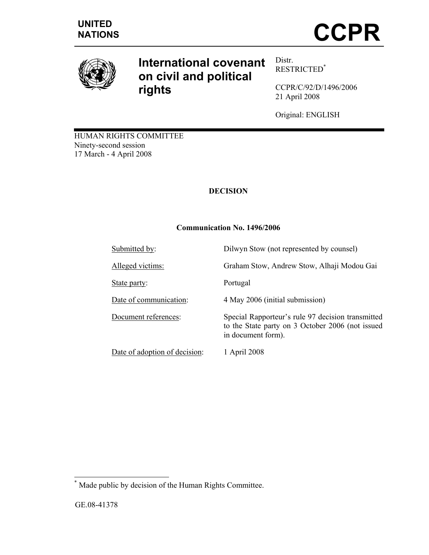

# **International covenant on civil and political rights**

Distr. RESTRICTED\*

CCPR/C/92/D/1496/2006 21 April 2008

Original: ENGLISH

HUMAN RIGHTS COMMITTEE Ninety-second session 17 March - 4 April 2008

## **DECISION**

## **Communication No. 1496/2006**

| Submitted by:                 | Dilwyn Stow (not represented by counsel)                                                                                    |
|-------------------------------|-----------------------------------------------------------------------------------------------------------------------------|
| Alleged victims:              | Graham Stow, Andrew Stow, Alhaji Modou Gai                                                                                  |
| State party:                  | Portugal                                                                                                                    |
| Date of communication:        | 4 May 2006 (initial submission)                                                                                             |
| Document references:          | Special Rapporteur's rule 97 decision transmitted<br>to the State party on 3 October 2006 (not issued<br>in document form). |
| Date of adoption of decision: | 1 April 2008                                                                                                                |

 \* Made public by decision of the Human Rights Committee.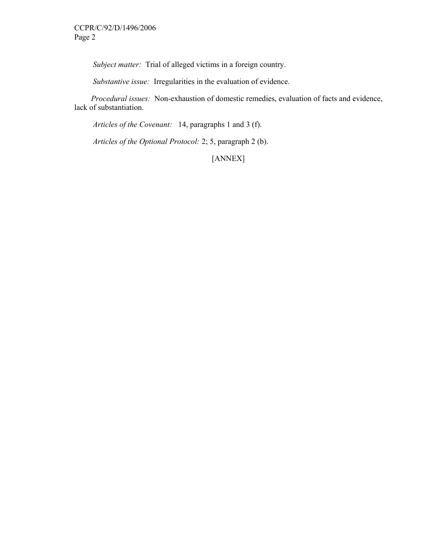*Subject matter:* Trial of alleged victims in a foreign country.

 *Substantive issue:* Irregularities in the evaluation of evidence.

 *Procedural issues:* Non-exhaustion of domestic remedies, evaluation of facts and evidence, lack of substantiation.

 *Articles of the Covenant:* 14, paragraphs 1 and 3 (f).

 *Articles of the Optional Protocol:* 2; 5, paragraph 2 (b).

[ANNEX]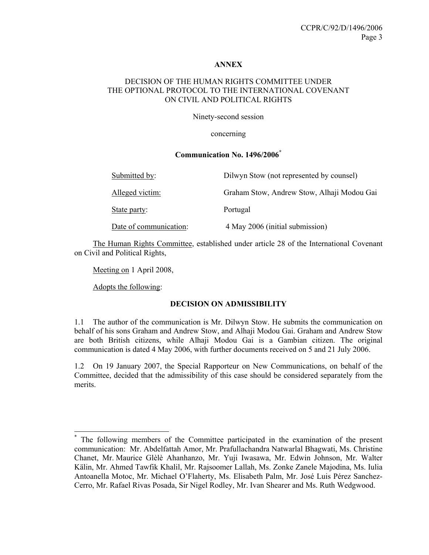#### **ANNEX**

### DECISION OF THE HUMAN RIGHTS COMMITTEE UNDER THE OPTIONAL PROTOCOL TO THE INTERNATIONAL COVENANT ON CIVIL AND POLITICAL RIGHTS

Ninety-second session

concerning

#### **Communication No. 1496/2006\***

| Submitted by:          | Dilwyn Stow (not represented by counsel)   |
|------------------------|--------------------------------------------|
| Alleged victim:        | Graham Stow, Andrew Stow, Alhaji Modou Gai |
| State party:           | Portugal                                   |
| Date of communication: | 4 May 2006 (initial submission)            |

 The Human Rights Committee, established under article 28 of the International Covenant on Civil and Political Rights,

Meeting on 1 April 2008,

Adopts the following:

 $\overline{a}$ 

#### **DECISION ON ADMISSIBILITY**

1.1 The author of the communication is Mr. Dilwyn Stow. He submits the communication on behalf of his sons Graham and Andrew Stow, and Alhaji Modou Gai. Graham and Andrew Stow are both British citizens, while Alhaji Modou Gai is a Gambian citizen. The original communication is dated 4 May 2006, with further documents received on 5 and 21 July 2006.

1.2 On 19 January 2007, the Special Rapporteur on New Communications, on behalf of the Committee, decided that the admissibility of this case should be considered separately from the merits.

<sup>\*</sup> The following members of the Committee participated in the examination of the present communication: Mr. Abdelfattah Amor, Mr. Prafullachandra Natwarlal Bhagwati, Ms. Christine Chanet, Mr. Maurice Glèlè Ahanhanzo, Mr. Yuji Iwasawa, Mr. Edwin Johnson, Mr. Walter Kälin, Mr. Ahmed Tawfik Khalil, Mr. Rajsoomer Lallah, Ms. Zonke Zanele Majodina, Ms. Iulia Antoanella Motoc, Mr. Michael O'Flaherty, Ms. Elisabeth Palm, Mr. José Luis Pérez Sanchez-Cerro, Mr. Rafael Rivas Posada, Sir Nigel Rodley, Mr. Ivan Shearer and Ms. Ruth Wedgwood.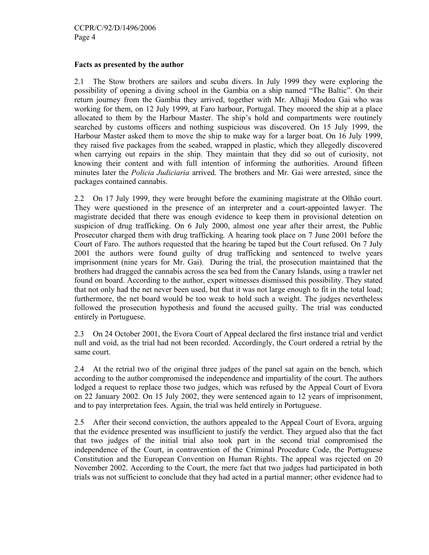#### **Facts as presented by the author**

2.1 The Stow brothers are sailors and scuba divers. In July 1999 they were exploring the possibility of opening a diving school in the Gambia on a ship named "The Baltic". On their return journey from the Gambia they arrived, together with Mr. Alhaji Modou Gai who was working for them, on 12 July 1999, at Faro harbour, Portugal. They moored the ship at a place allocated to them by the Harbour Master. The ship's hold and compartments were routinely searched by customs officers and nothing suspicious was discovered. On 15 July 1999, the Harbour Master asked them to move the ship to make way for a larger boat. On 16 July 1999, they raised five packages from the seabed, wrapped in plastic, which they allegedly discovered when carrying out repairs in the ship. They maintain that they did so out of curiosity, not knowing their content and with full intention of informing the authorities. Around fifteen minutes later the *Policia Judiciaria* arrived. The brothers and Mr. Gai were arrested, since the packages contained cannabis.

2.2 On 17 July 1999, they were brought before the examining magistrate at the Olhão court. They were questioned in the presence of an interpreter and a court-appointed lawyer. The magistrate decided that there was enough evidence to keep them in provisional detention on suspicion of drug trafficking. On 6 July 2000, almost one year after their arrest, the Public Prosecutor charged them with drug trafficking*.* A hearing took place on 7 June 2001 before the Court of Faro. The authors requested that the hearing be taped but the Court refused. On 7 July 2001 the authors were found guilty of drug trafficking and sentenced to twelve years imprisonment (nine years for Mr. Gai). During the trial, the prosecution maintained that the brothers had dragged the cannabis across the sea bed from the Canary Islands, using a trawler net found on board. According to the author, expert witnesses dismissed this possibility. They stated that not only had the net never been used, but that it was not large enough to fit in the total load; furthermore, the net board would be too weak to hold such a weight. The judges nevertheless followed the prosecution hypothesis and found the accused guilty. The trial was conducted entirely in Portuguese.

2.3 On 24 October 2001, the Evora Court of Appeal declared the first instance trial and verdict null and void, as the trial had not been recorded. Accordingly, the Court ordered a retrial by the same court.

2.4 At the retrial two of the original three judges of the panel sat again on the bench, which according to the author compromised the independence and impartiality of the court. The authors lodged a request to replace those two judges, which was refused by the Appeal Court of Evora on 22 January 2002. On 15 July 2002, they were sentenced again to 12 years of imprisonment, and to pay interpretation fees. Again, the trial was held entirely in Portuguese.

2.5 After their second conviction, the authors appealed to the Appeal Court of Evora, arguing that the evidence presented was insufficient to justify the verdict. They argued also that the fact that two judges of the initial trial also took part in the second trial compromised the independence of the Court, in contravention of the Criminal Procedure Code, the Portuguese Constitution and the European Convention on Human Rights. The appeal was rejected on 20 November 2002. According to the Court, the mere fact that two judges had participated in both trials was not sufficient to conclude that they had acted in a partial manner; other evidence had to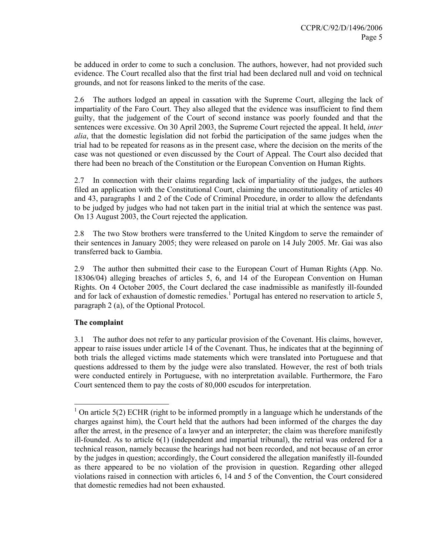be adduced in order to come to such a conclusion. The authors, however, had not provided such evidence. The Court recalled also that the first trial had been declared null and void on technical grounds, and not for reasons linked to the merits of the case.

2.6 The authors lodged an appeal in cassation with the Supreme Court, alleging the lack of impartiality of the Faro Court. They also alleged that the evidence was insufficient to find them guilty, that the judgement of the Court of second instance was poorly founded and that the sentences were excessive. On 30 April 2003, the Supreme Court rejected the appeal. It held, *inter alia*, that the domestic legislation did not forbid the participation of the same judges when the trial had to be repeated for reasons as in the present case, where the decision on the merits of the case was not questioned or even discussed by the Court of Appeal. The Court also decided that there had been no breach of the Constitution or the European Convention on Human Rights.

2.7 In connection with their claims regarding lack of impartiality of the judges, the authors filed an application with the Constitutional Court, claiming the unconstitutionality of articles 40 and 43, paragraphs 1 and 2 of the Code of Criminal Procedure, in order to allow the defendants to be judged by judges who had not taken part in the initial trial at which the sentence was past. On 13 August 2003, the Court rejected the application.

2.8 The two Stow brothers were transferred to the United Kingdom to serve the remainder of their sentences in January 2005; they were released on parole on 14 July 2005. Mr. Gai was also transferred back to Gambia.

2.9 The author then submitted their case to the European Court of Human Rights (App. No. 18306/04) alleging breaches of articles 5, 6, and 14 of the European Convention on Human Rights. On 4 October 2005, the Court declared the case inadmissible as manifestly ill-founded and for lack of exhaustion of domestic remedies.<sup>1</sup> Portugal has entered no reservation to article 5, paragraph 2 (a), of the Optional Protocol.

## **The complaint**

 $\overline{a}$ 

3.1 The author does not refer to any particular provision of the Covenant. His claims, however, appear to raise issues under article 14 of the Covenant. Thus, he indicates that at the beginning of both trials the alleged victims made statements which were translated into Portuguese and that questions addressed to them by the judge were also translated. However, the rest of both trials were conducted entirely in Portuguese, with no interpretation available. Furthermore, the Faro Court sentenced them to pay the costs of 80,000 escudos for interpretation.

<sup>&</sup>lt;sup>1</sup> On article 5(2) ECHR (right to be informed promptly in a language which he understands of the charges against him), the Court held that the authors had been informed of the charges the day after the arrest, in the presence of a lawyer and an interpreter; the claim was therefore manifestly ill-founded. As to article 6(1) (independent and impartial tribunal), the retrial was ordered for a technical reason, namely because the hearings had not been recorded, and not because of an error by the judges in question; accordingly, the Court considered the allegation manifestly ill-founded as there appeared to be no violation of the provision in question. Regarding other alleged violations raised in connection with articles 6, 14 and 5 of the Convention, the Court considered that domestic remedies had not been exhausted.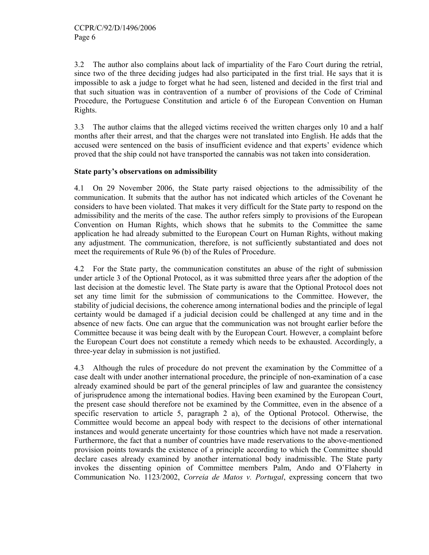3.2 The author also complains about lack of impartiality of the Faro Court during the retrial, since two of the three deciding judges had also participated in the first trial. He says that it is impossible to ask a judge to forget what he had seen, listened and decided in the first trial and that such situation was in contravention of a number of provisions of the Code of Criminal Procedure, the Portuguese Constitution and article 6 of the European Convention on Human Rights.

3.3 The author claims that the alleged victims received the written charges only 10 and a half months after their arrest, and that the charges were not translated into English. He adds that the accused were sentenced on the basis of insufficient evidence and that experts' evidence which proved that the ship could not have transported the cannabis was not taken into consideration.

#### **State party's observations on admissibility**

4.1 On 29 November 2006, the State party raised objections to the admissibility of the communication. It submits that the author has not indicated which articles of the Covenant he considers to have been violated. That makes it very difficult for the State party to respond on the admissibility and the merits of the case. The author refers simply to provisions of the European Convention on Human Rights, which shows that he submits to the Committee the same application he had already submitted to the European Court on Human Rights, without making any adjustment. The communication, therefore, is not sufficiently substantiated and does not meet the requirements of Rule 96 (b) of the Rules of Procedure.

4.2 For the State party, the communication constitutes an abuse of the right of submission under article 3 of the Optional Protocol, as it was submitted three years after the adoption of the last decision at the domestic level. The State party is aware that the Optional Protocol does not set any time limit for the submission of communications to the Committee. However, the stability of judicial decisions, the coherence among international bodies and the principle of legal certainty would be damaged if a judicial decision could be challenged at any time and in the absence of new facts. One can argue that the communication was not brought earlier before the Committee because it was being dealt with by the European Court. However, a complaint before the European Court does not constitute a remedy which needs to be exhausted. Accordingly, a three-year delay in submission is not justified.

4.3 Although the rules of procedure do not prevent the examination by the Committee of a case dealt with under another international procedure, the principle of non-examination of a case already examined should be part of the general principles of law and guarantee the consistency of jurisprudence among the international bodies. Having been examined by the European Court, the present case should therefore not be examined by the Committee, even in the absence of a specific reservation to article 5, paragraph 2 a), of the Optional Protocol. Otherwise, the Committee would become an appeal body with respect to the decisions of other international instances and would generate uncertainty for those countries which have not made a reservation. Furthermore, the fact that a number of countries have made reservations to the above-mentioned provision points towards the existence of a principle according to which the Committee should declare cases already examined by another international body inadmissible. The State party invokes the dissenting opinion of Committee members Palm, Ando and O'Flaherty in Communication No. 1123/2002, *Correia de Matos v. Portugal*, expressing concern that two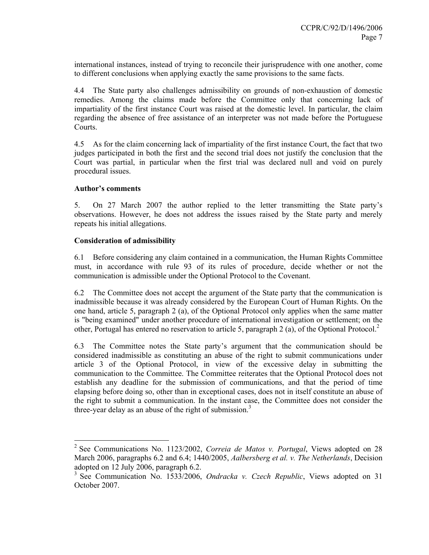international instances, instead of trying to reconcile their jurisprudence with one another, come to different conclusions when applying exactly the same provisions to the same facts.

4.4 The State party also challenges admissibility on grounds of non-exhaustion of domestic remedies. Among the claims made before the Committee only that concerning lack of impartiality of the first instance Court was raised at the domestic level. In particular, the claim regarding the absence of free assistance of an interpreter was not made before the Portuguese Courts.

4.5 As for the claim concerning lack of impartiality of the first instance Court, the fact that two judges participated in both the first and the second trial does not justify the conclusion that the Court was partial, in particular when the first trial was declared null and void on purely procedural issues.

#### **Author's comments**

5. On 27 March 2007 the author replied to the letter transmitting the State party's observations. However, he does not address the issues raised by the State party and merely repeats his initial allegations.

## **Consideration of admissibility**

6.1 Before considering any claim contained in a communication, the Human Rights Committee must, in accordance with rule 93 of its rules of procedure, decide whether or not the communication is admissible under the Optional Protocol to the Covenant.

6.2 The Committee does not accept the argument of the State party that the communication is inadmissible because it was already considered by the European Court of Human Rights. On the one hand, article 5, paragraph 2 (a), of the Optional Protocol only applies when the same matter is "being examined" under another procedure of international investigation or settlement; on the other, Portugal has entered no reservation to article 5, paragraph 2 (a), of the Optional Protocol.<sup>2</sup>

6.3 The Committee notes the State party's argument that the communication should be considered inadmissible as constituting an abuse of the right to submit communications under article 3 of the Optional Protocol, in view of the excessive delay in submitting the communication to the Committee. The Committee reiterates that the Optional Protocol does not establish any deadline for the submission of communications, and that the period of time elapsing before doing so, other than in exceptional cases, does not in itself constitute an abuse of the right to submit a communication. In the instant case, the Committee does not consider the three-year delay as an abuse of the right of submission.<sup>3</sup>

 2 See Communications No. 1123/2002, *Correia de Matos v. Portugal*, Views adopted on 28 March 2006, paragraphs 6.2 and 6.4; 1440/2005, *Aalbersberg et al. v. The Netherlands*, Decision adopted on 12 July 2006, paragraph 6.2.

<sup>3</sup> See Communication No. 1533/2006, *Ondracka v. Czech Republic*, Views adopted on 31 October 2007.